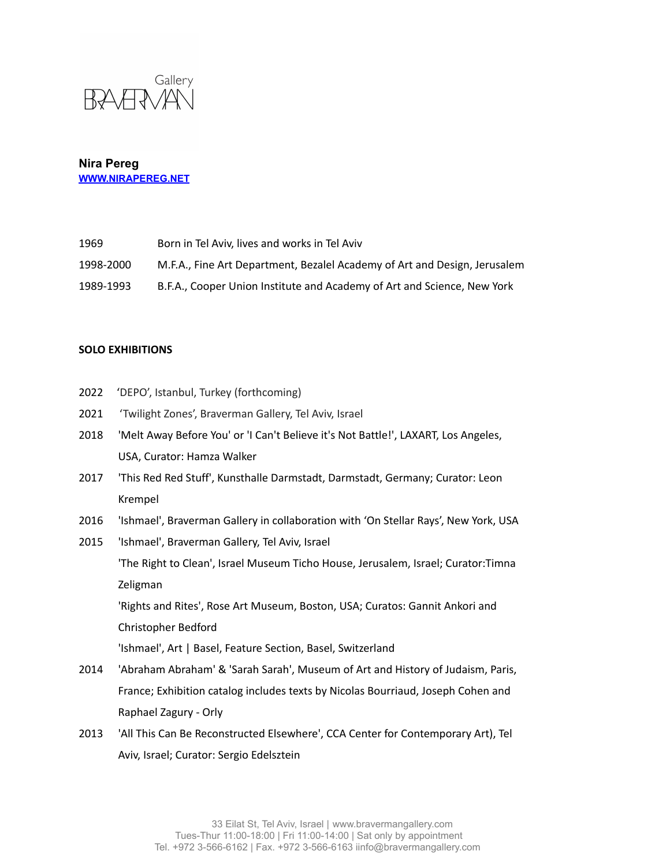

| 1969      | Born in Tel Aviv, lives and works in Tel Aviv                             |
|-----------|---------------------------------------------------------------------------|
| 1998-2000 | M.F.A., Fine Art Department, Bezalel Academy of Art and Design, Jerusalem |
| 1989-1993 | B.F.A., Cooper Union Institute and Academy of Art and Science, New York   |

### **SOLO EXHIBITIONS**

- 2022 'DEPO', Istanbul, Turkey (forthcoming)
- 2021 'Twilight Zones', Braverman Gallery, Tel Aviv, Israel
- 2018 'Melt Away Before You' or 'I Can't Believe it's Not Battle!', LAXART, Los Angeles, USA, Curator: Hamza Walker
- 2017 'This Red Red Stuff', Kunsthalle Darmstadt, Darmstadt, Germany; Curator: Leon Krempel
- 2016 'Ishmael', Braverman Gallery in collaboration with 'On Stellar Rays', New York, USA
- 2015 'Ishmael', Braverman Gallery, Tel Aviv, Israel

'The Right to Clean', Israel Museum Ticho House, Jerusalem, Israel; Curator:Timna Zeligman

'Rights and Rites', Rose Art Museum, Boston, USA; Curatos: Gannit Ankori and Christopher Bedford

'Ishmael', Art | Basel, Feature Section, Basel, Switzerland

- 2014 'Abraham Abraham' & 'Sarah Sarah', Museum of Art and History of Judaism, Paris, France; Exhibition catalog includes texts by Nicolas Bourriaud, Joseph Cohen and Raphael Zagury - Orly
- 2013 'All This Can Be Reconstructed Elsewhere', CCA Center for Contemporary Art), Tel Aviv, Israel; Curator: Sergio Edelsztein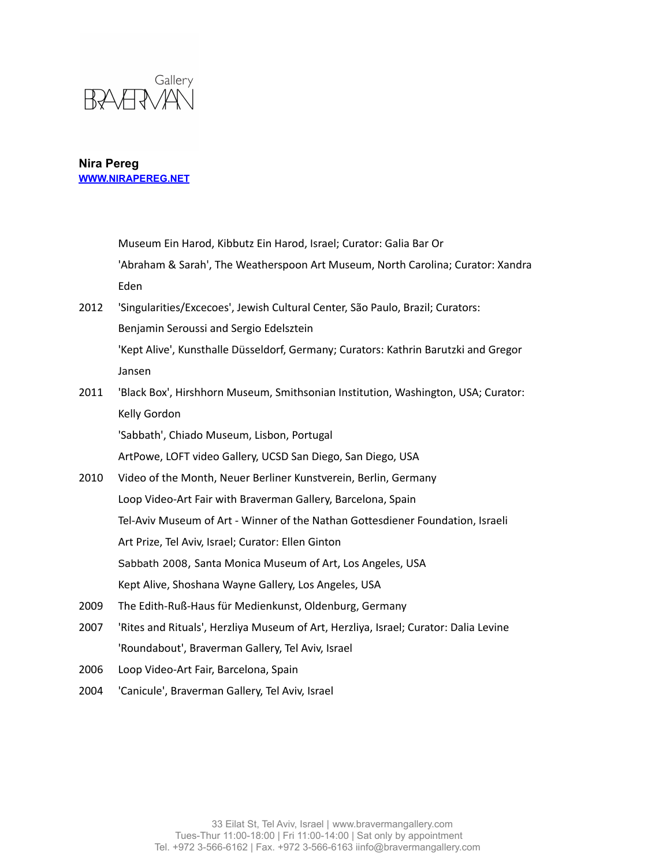

Museum Ein Harod, Kibbutz Ein Harod, Israel; Curator: Galia Bar Or 'Abraham & Sarah', The Weatherspoon Art Museum, North Carolina; Curator: Xandra Eden

- 2012 'Singularities/Excecoes', Jewish Cultural Center, São Paulo, Brazil; Curators: Benjamin Seroussi and Sergio Edelsztein 'Kept Alive', Kunsthalle Düsseldorf, Germany; Curators: Kathrin Barutzki and Gregor Jansen
- 2011 'Black Box', Hirshhorn Museum, Smithsonian Institution, Washington, USA; Curator: Kelly Gordon

'Sabbath', Chiado Museum, Lisbon, Portugal

ArtPowe, LOFT video Gallery, UCSD San Diego, San Diego, USA

- 2010 Video of the Month, Neuer Berliner Kunstverein, Berlin, Germany Loop Video-Art Fair with Braverman Gallery, Barcelona, Spain Tel-Aviv Museum of Art - Winner of the Nathan Gottesdiener Foundation, Israeli Art Prize, Tel Aviv, Israel; Curator: Ellen Ginton Sabbath 2008, Santa Monica Museum of Art, Los Angeles, USA Kept Alive, Shoshana Wayne Gallery, Los Angeles, USA
- 2009 The Edith-Ruß-Haus für Medienkunst, Oldenburg, Germany
- 2007 'Rites and Rituals', Herzliya Museum of Art, Herzliya, Israel; Curator: Dalia Levine 'Roundabout', Braverman Gallery, Tel Aviv, Israel
- 2006 Loop Video-Art Fair, Barcelona, Spain
- 2004 'Canicule', Braverman Gallery, Tel Aviv, Israel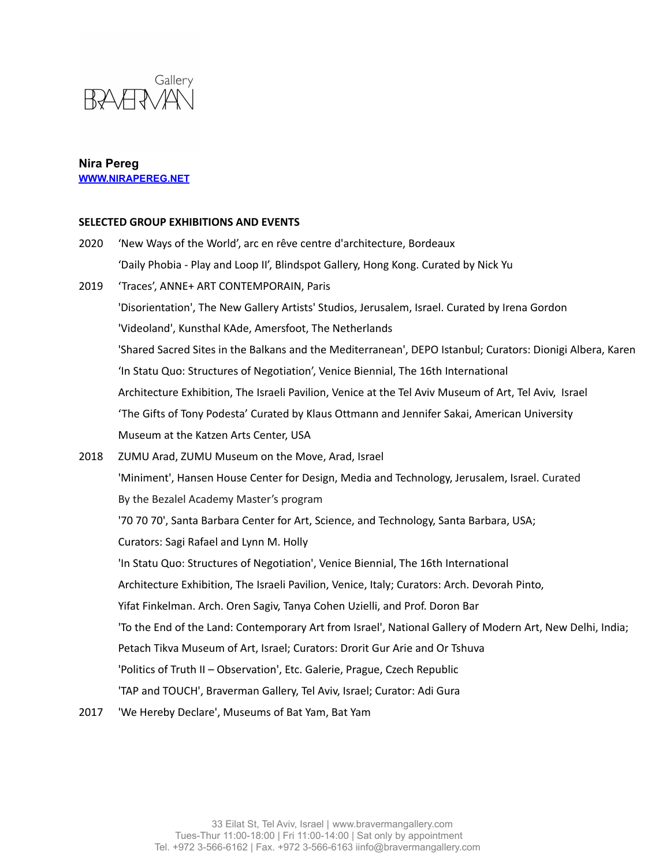

### **SELECTED GROUP EXHIBITIONS AND EVENTS**

- 2020 'New Ways of the World', arc en rêve centre d'architecture, Bordeaux 'Daily Phobia - Play and Loop II', Blindspot Gallery, Hong Kong. Curated by Nick Yu 2019 'Traces', ANNE+ ART CONTEMPORAIN, Paris 'Disorientation', The New Gallery Artists' Studios, Jerusalem, Israel. Curated by Irena Gordon 'Videoland', Kunsthal KAde, Amersfoot, The Netherlands 'Shared Sacred Sites in the Balkans and the Mediterranean', DEPO Istanbul; Curators: Dionigi Albera, Karen 'In Statu Quo: Structures of Negotiation', Venice Biennial, The 16th International Architecture Exhibition, The Israeli Pavilion, Venice at the Tel Aviv Museum of Art, Tel Aviv, Israel 'The Gifts of Tony Podesta' Curated by Klaus Ottmann and Jennifer Sakai, American University Museum at the Katzen Arts Center, USA 2018 ZUMU Arad, ZUMU Museum on the Move, Arad, Israel 'Miniment', Hansen House Center for Design, Media and Technology, Jerusalem, Israel. Curated By the Bezalel Academy Master's program '70 70 70', Santa Barbara Center for Art, Science, and Technology, Santa Barbara, USA; Curators: Sagi Rafael and Lynn M. Holly 'In Statu Quo: Structures of Negotiation', Venice Biennial, The 16th International Architecture Exhibition, The Israeli Pavilion, Venice, Italy; Curators: Arch. Devorah Pinto, Yifat Finkelman. Arch. Oren Sagiv, Tanya Cohen Uzielli, and Prof. Doron Bar 'To the End of the Land: Contemporary Art from Israel', National Gallery of Modern Art, New Delhi, India; Petach Tikva Museum of Art, Israel; Curators: Drorit Gur Arie and Or Tshuva 'Politics of Truth II – Observation', Etc. Galerie, Prague, Czech Republic 'TAP and TOUCH', Braverman Gallery, Tel Aviv, Israel; Curator: Adi Gura
- 2017 'We Hereby Declare', Museums of Bat Yam, Bat Yam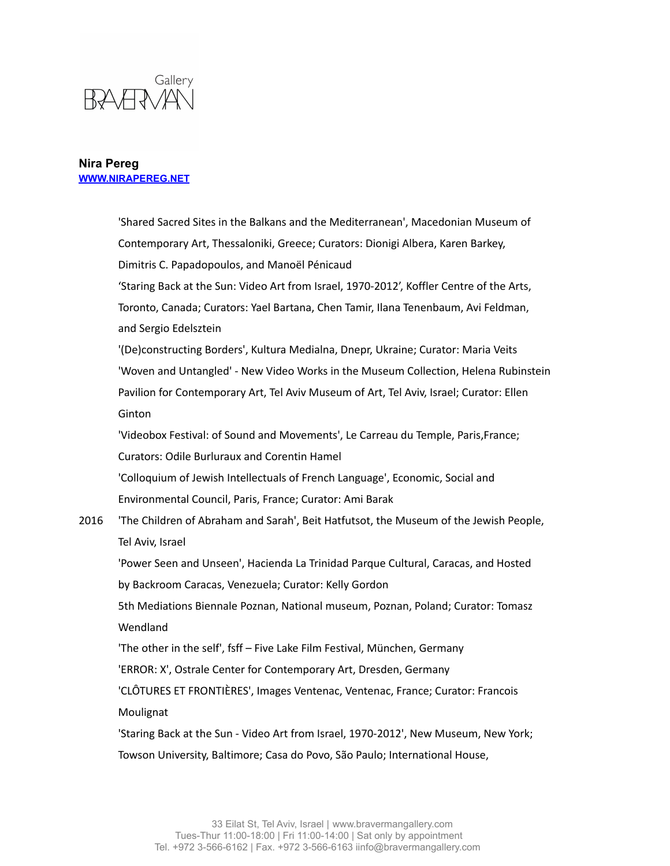

'Shared Sacred Sites in the Balkans and the Mediterranean', Macedonian Museum of Contemporary Art, Thessaloniki, Greece; Curators: Dionigi Albera, Karen Barkey, Dimitris C. Papadopoulos, and Manoël Pénicaud 'Staring Back at the Sun: Video Art from Israel, 1970-2012', Koffler Centre of the Arts, Toronto, Canada; Curators: Yael Bartana, Chen Tamir, Ilana Tenenbaum, Avi Feldman, and Sergio Edelsztein '(De)constructing Borders', Kultura Medialna, Dnepr, Ukraine; Curator: Maria Veits 'Woven and Untangled' - New Video Works in the Museum Collection, Helena Rubinstein Pavilion for Contemporary Art, Tel Aviv Museum of Art, Tel Aviv, Israel; Curator: Ellen Ginton 'Videobox Festival: of Sound and Movements', Le Carreau du Temple, Paris,France; Curators: Odile Burluraux and Corentin Hamel 'Colloquium of Jewish Intellectuals of French Language', Economic, Social and Environmental Council, Paris, France; Curator: Ami Barak 2016 'The Children of Abraham and Sarah', Beit Hatfutsot, the Museum of the Jewish People, Tel Aviv, Israel 'Power Seen and Unseen', Hacienda La Trinidad Parque Cultural, Caracas, and Hosted by Backroom Caracas, Venezuela; Curator: Kelly Gordon 5th Mediations Biennale Poznan, National museum, Poznan, Poland; Curator: Tomasz **Wendland** 'The other in the self', fsff – Five Lake Film Festival, München, Germany 'ERROR: X', Ostrale Center for Contemporary Art, Dresden, Germany 'CLÔTURES ET FRONTIÈRES', Images Ventenac, Ventenac, France; Curator: Francois Moulignat 'Staring Back at the Sun - Video Art from Israel, 1970-2012', New Museum, New York;

Towson University, Baltimore; Casa do Povo, São Paulo; International House,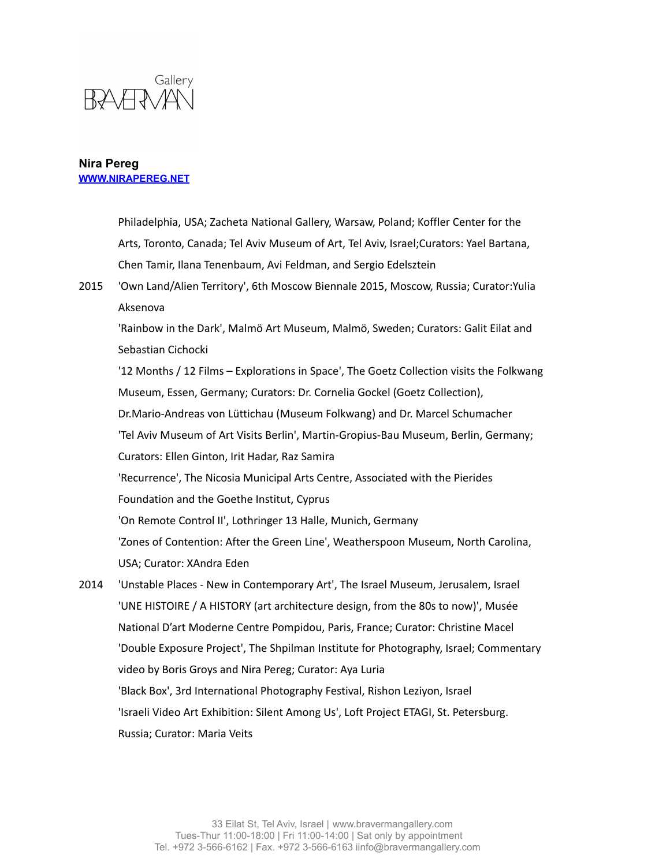

Philadelphia, USA; Zacheta National Gallery, Warsaw, Poland; Koffler Center for the Arts, Toronto, Canada; Tel Aviv Museum of Art, Tel Aviv, Israel;Curators: Yael Bartana, Chen Tamir, Ilana Tenenbaum, Avi Feldman, and Sergio Edelsztein

2015 'Own Land/Alien Territory', 6th Moscow Biennale 2015, Moscow, Russia; Curator:Yulia Aksenova

'Rainbow in the Dark', Malmö Art Museum, Malmö, Sweden; Curators: Galit Eilat and Sebastian Cichocki

'12 Months / 12 Films – Explorations in Space', The Goetz Collection visits the Folkwang Museum, Essen, Germany; Curators: Dr. Cornelia Gockel (Goetz Collection),

Dr.Mario-Andreas von Lüttichau (Museum Folkwang) and Dr. Marcel Schumacher

'Tel Aviv Museum of Art Visits Berlin', Martin-Gropius-Bau Museum, Berlin, Germany;

Curators: Ellen Ginton, Irit Hadar, Raz Samira

'Recurrence', The Nicosia Municipal Arts Centre, Associated with the Pierides

Foundation and the Goethe Institut, Cyprus

'On Remote Control II', Lothringer 13 Halle, Munich, Germany

'Zones of Contention: After the Green Line', Weatherspoon Museum, North Carolina, USA; Curator: XAndra Eden

2014 'Unstable Places - New in Contemporary Art', The Israel Museum, Jerusalem, Israel 'UNE HISTOIRE / A HISTORY (art architecture design, from the 80s to now)', Musée National D'art Moderne Centre Pompidou, Paris, France; Curator: Christine Macel 'Double Exposure Project', The Shpilman Institute for Photography, Israel; Commentary video by Boris Groys and Nira Pereg; Curator: Aya Luria 'Black Box', 3rd International Photography Festival, Rishon Leziyon, Israel 'Israeli Video Art Exhibition: Silent Among Us', Loft Project ETAGI, St. Petersburg. Russia; Curator: Maria Veits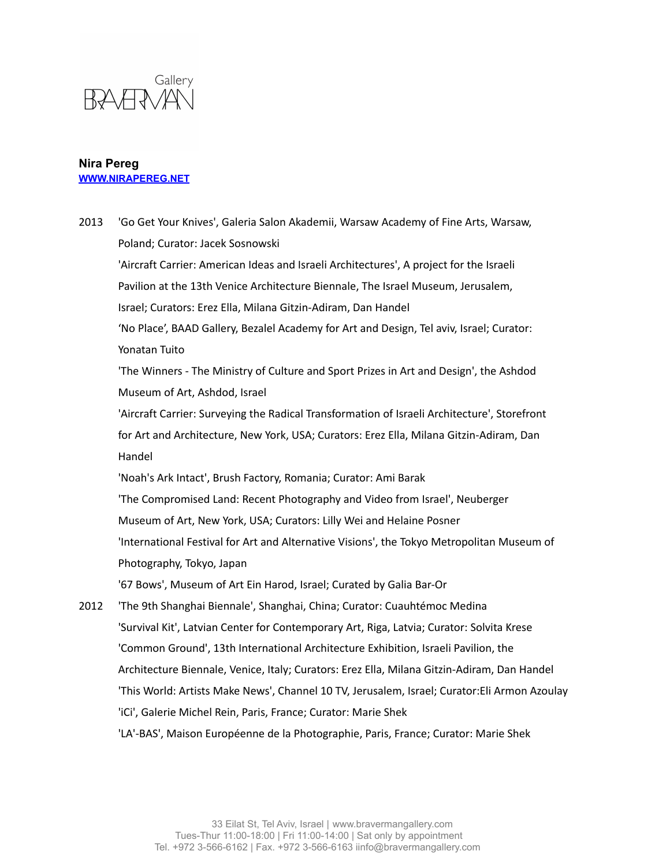

2013 'Go Get Your Knives', Galeria Salon Akademii, Warsaw Academy of Fine Arts, Warsaw, Poland; Curator: Jacek Sosnowski 'Aircraft Carrier: American Ideas and Israeli Architectures', A project for the Israeli Pavilion at the 13th Venice Architecture Biennale, The Israel Museum, Jerusalem, Israel; Curators: Erez Ella, Milana Gitzin-Adiram, Dan Handel 'No Place', BAAD Gallery, Bezalel Academy for Art and Design, Tel aviv, Israel; Curator: Yonatan Tuito 'The Winners - The Ministry of Culture and Sport Prizes in Art and Design', the Ashdod Museum of Art, Ashdod, Israel 'Aircraft Carrier: Surveying the Radical Transformation of Israeli Architecture', Storefront for Art and Architecture, New York, USA; Curators: Erez Ella, Milana Gitzin-Adiram, Dan Handel 'Noah's Ark Intact', Brush Factory, Romania; Curator: Ami Barak 'The Compromised Land: Recent Photography and Video from Israel', Neuberger Museum of Art, New York, USA; Curators: Lilly Wei and Helaine Posner 'International Festival for Art and Alternative Visions', the Tokyo Metropolitan Museum of Photography, Tokyo, Japan '67 Bows', Museum of Art Ein Harod, Israel; Curated by Galia Bar-Or 2012 'The 9th Shanghai Biennale', Shanghai, China; Curator: Cuauhtémoc Medina 'Survival Kit', Latvian Center for Contemporary Art, Riga, Latvia; Curator: Solvita Krese 'Common Ground', 13th International Architecture Exhibition, Israeli Pavilion, the Architecture Biennale, Venice, Italy; Curators: Erez Ella, Milana Gitzin-Adiram, Dan Handel 'This World: Artists Make News', Channel 10 TV, Jerusalem, Israel; Curator:Eli Armon Azoulay 'iCi', Galerie Michel Rein, Paris, France; Curator: Marie Shek 'LA'-BAS', Maison Européenne de la Photographie, Paris, France; Curator: Marie Shek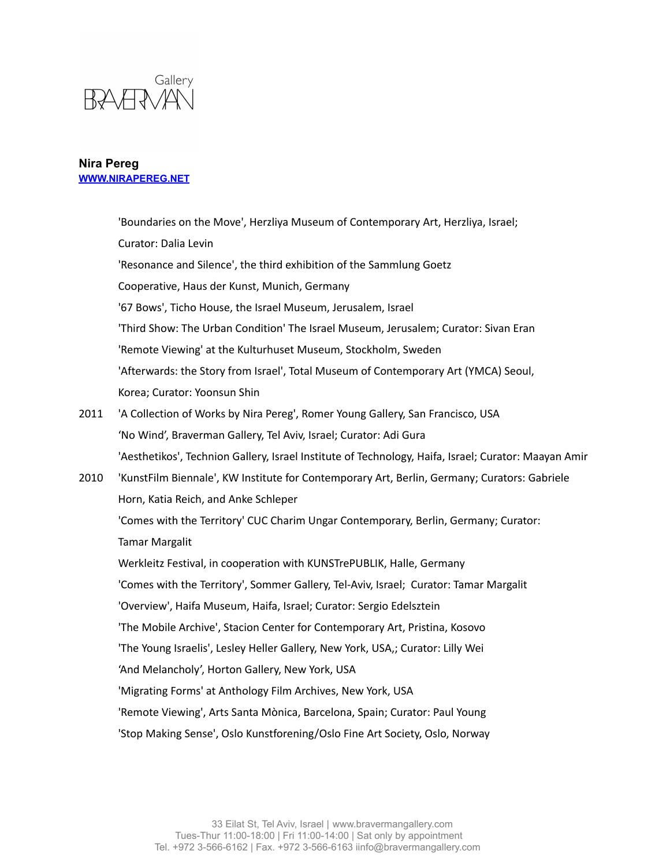

|      | 'Boundaries on the Move', Herzliya Museum of Contemporary Art, Herzliya, Israel;                     |
|------|------------------------------------------------------------------------------------------------------|
|      | Curator: Dalia Levin                                                                                 |
|      | 'Resonance and Silence', the third exhibition of the Sammlung Goetz                                  |
|      | Cooperative, Haus der Kunst, Munich, Germany                                                         |
|      | '67 Bows', Ticho House, the Israel Museum, Jerusalem, Israel                                         |
|      | 'Third Show: The Urban Condition' The Israel Museum, Jerusalem; Curator: Sivan Eran                  |
|      | 'Remote Viewing' at the Kulturhuset Museum, Stockholm, Sweden                                        |
|      | 'Afterwards: the Story from Israel', Total Museum of Contemporary Art (YMCA) Seoul,                  |
|      | Korea; Curator: Yoonsun Shin                                                                         |
| 2011 | 'A Collection of Works by Nira Pereg', Romer Young Gallery, San Francisco, USA                       |
|      | 'No Wind', Braverman Gallery, Tel Aviv, Israel; Curator: Adi Gura                                    |
|      | 'Aesthetikos', Technion Gallery, Israel Institute of Technology, Haifa, Israel; Curator: Maayan Amir |
| 2010 | 'KunstFilm Biennale', KW Institute for Contemporary Art, Berlin, Germany; Curators: Gabriele         |
|      | Horn, Katia Reich, and Anke Schleper                                                                 |
|      | 'Comes with the Territory' CUC Charim Ungar Contemporary, Berlin, Germany; Curator:                  |
|      | <b>Tamar Margalit</b>                                                                                |
|      | Werkleitz Festival, in cooperation with KUNSTrePUBLIK, Halle, Germany                                |
|      | 'Comes with the Territory', Sommer Gallery, Tel-Aviv, Israel; Curator: Tamar Margalit                |
|      | 'Overview', Haifa Museum, Haifa, Israel; Curator: Sergio Edelsztein                                  |
|      | 'The Mobile Archive', Stacion Center for Contemporary Art, Pristina, Kosovo                          |
|      | 'The Young Israelis', Lesley Heller Gallery, New York, USA,; Curator: Lilly Wei                      |
|      | 'And Melancholy', Horton Gallery, New York, USA                                                      |
|      | 'Migrating Forms' at Anthology Film Archives, New York, USA                                          |
|      | 'Remote Viewing', Arts Santa Mònica, Barcelona, Spain; Curator: Paul Young                           |
|      | 'Stop Making Sense', Oslo Kunstforening/Oslo Fine Art Society, Oslo, Norway                          |
|      |                                                                                                      |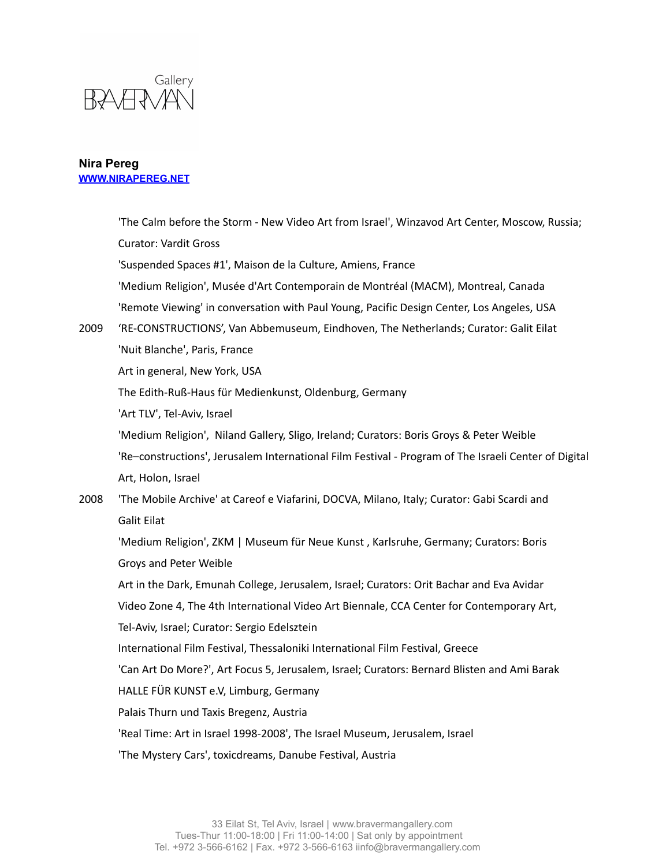

|      | 'The Calm before the Storm - New Video Art from Israel', Winzavod Art Center, Moscow, Russia;        |
|------|------------------------------------------------------------------------------------------------------|
|      | <b>Curator: Vardit Gross</b>                                                                         |
|      | 'Suspended Spaces #1', Maison de la Culture, Amiens, France                                          |
|      | 'Medium Religion', Musée d'Art Contemporain de Montréal (MACM), Montreal, Canada                     |
|      | 'Remote Viewing' in conversation with Paul Young, Pacific Design Center, Los Angeles, USA            |
| 2009 | 'RE-CONSTRUCTIONS', Van Abbemuseum, Eindhoven, The Netherlands; Curator: Galit Eilat                 |
|      | 'Nuit Blanche', Paris, France                                                                        |
|      | Art in general, New York, USA                                                                        |
|      | The Edith-Ruß-Haus für Medienkunst, Oldenburg, Germany                                               |
|      | 'Art TLV', Tel-Aviv, Israel                                                                          |
|      | 'Medium Religion', Niland Gallery, Sligo, Ireland; Curators: Boris Groys & Peter Weible              |
|      | 'Re-constructions', Jerusalem International Film Festival - Program of The Israeli Center of Digital |
|      | Art, Holon, Israel                                                                                   |
| 2008 | 'The Mobile Archive' at Careof e Viafarini, DOCVA, Milano, Italy; Curator: Gabi Scardi and           |
|      | <b>Galit Eilat</b>                                                                                   |
|      | 'Medium Religion', ZKM   Museum für Neue Kunst, Karlsruhe, Germany; Curators: Boris                  |
|      | Groys and Peter Weible                                                                               |
|      | Art in the Dark, Emunah College, Jerusalem, Israel; Curators: Orit Bachar and Eva Avidar             |
|      | Video Zone 4, The 4th International Video Art Biennale, CCA Center for Contemporary Art,             |
|      | Tel-Aviv, Israel; Curator: Sergio Edelsztein                                                         |
|      | International Film Festival, Thessaloniki International Film Festival, Greece                        |
|      | 'Can Art Do More?', Art Focus 5, Jerusalem, Israel; Curators: Bernard Blisten and Ami Barak          |
|      | HALLE FÜR KUNST e.V, Limburg, Germany                                                                |
|      | Palais Thurn und Taxis Bregenz, Austria                                                              |
|      | 'Real Time: Art in Israel 1998-2008', The Israel Museum, Jerusalem, Israel                           |
|      | 'The Mystery Cars', toxicdreams, Danube Festival, Austria                                            |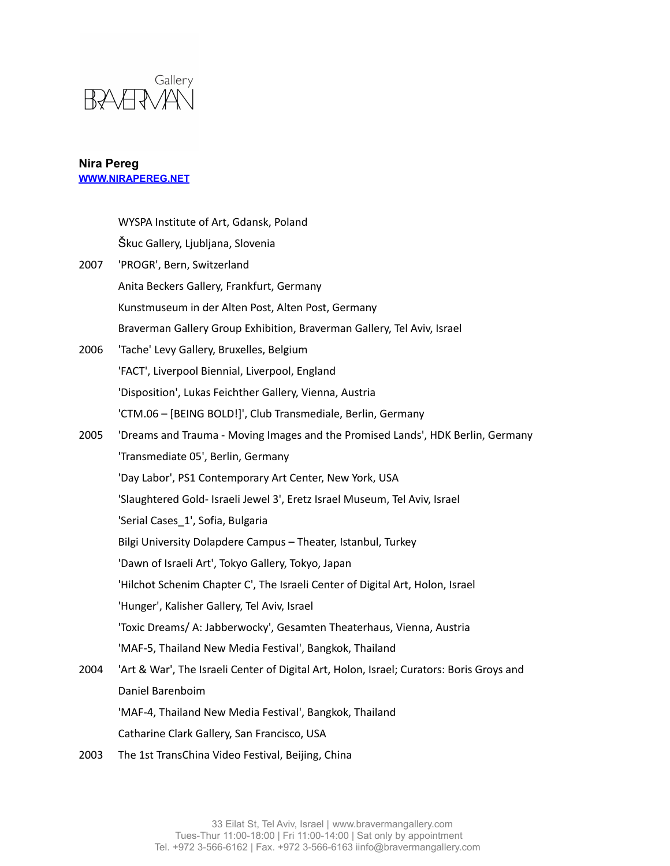

| WYSPA Institute of Art, Gdansk, Poland                                                   |
|------------------------------------------------------------------------------------------|
| Škuc Gallery, Ljubljana, Slovenia                                                        |
| 'PROGR', Bern, Switzerland                                                               |
| Anita Beckers Gallery, Frankfurt, Germany                                                |
| Kunstmuseum in der Alten Post, Alten Post, Germany                                       |
| Braverman Gallery Group Exhibition, Braverman Gallery, Tel Aviv, Israel                  |
| 'Tache' Levy Gallery, Bruxelles, Belgium                                                 |
| 'FACT', Liverpool Biennial, Liverpool, England                                           |
| 'Disposition', Lukas Feichther Gallery, Vienna, Austria                                  |
| 'CTM.06 - [BEING BOLD!]', Club Transmediale, Berlin, Germany                             |
| 'Dreams and Trauma - Moving Images and the Promised Lands', HDK Berlin, Germany          |
| 'Transmediate 05', Berlin, Germany                                                       |
| 'Day Labor', PS1 Contemporary Art Center, New York, USA                                  |
| 'Slaughtered Gold- Israeli Jewel 3', Eretz Israel Museum, Tel Aviv, Israel               |
| 'Serial Cases_1', Sofia, Bulgaria                                                        |
| Bilgi University Dolapdere Campus - Theater, Istanbul, Turkey                            |
| 'Dawn of Israeli Art', Tokyo Gallery, Tokyo, Japan                                       |
| 'Hilchot Schenim Chapter C', The Israeli Center of Digital Art, Holon, Israel            |
| 'Hunger', Kalisher Gallery, Tel Aviv, Israel                                             |
| 'Toxic Dreams/ A: Jabberwocky', Gesamten Theaterhaus, Vienna, Austria                    |
| 'MAF-5, Thailand New Media Festival', Bangkok, Thailand                                  |
| 'Art & War', The Israeli Center of Digital Art, Holon, Israel; Curators: Boris Groys and |
| Daniel Barenboim                                                                         |
| 'MAF-4, Thailand New Media Festival', Bangkok, Thailand                                  |
| Catharine Clark Gallery, San Francisco, USA                                              |
|                                                                                          |

2003 The 1st TransChina Video Festival, Beijing, China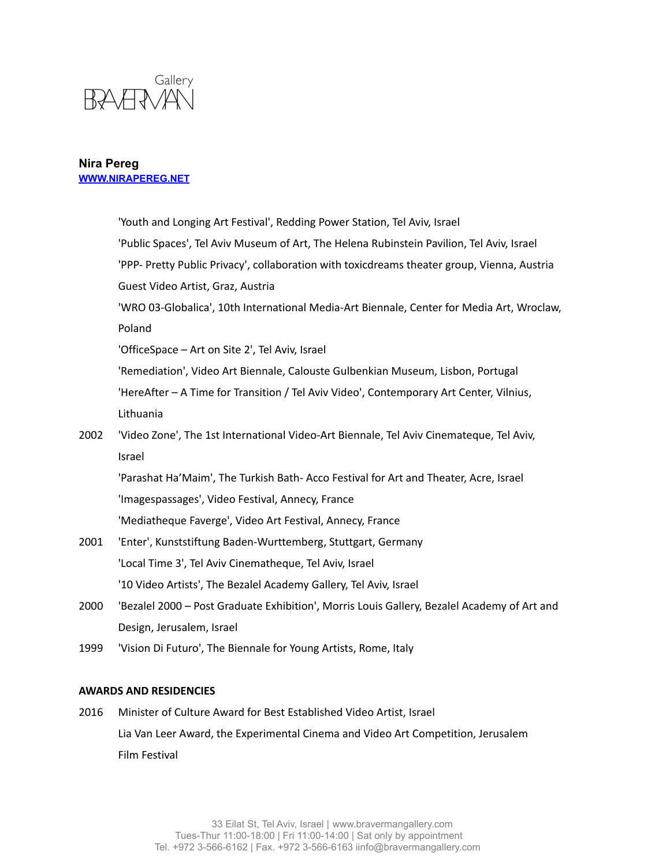

|                               | 'Youth and Longing Art Festival', Redding Power Station, Tel Aviv, Israel                   |  |
|-------------------------------|---------------------------------------------------------------------------------------------|--|
|                               | 'Public Spaces', Tel Aviv Museum of Art, The Helena Rubinstein Pavilion, Tel Aviv, Israel   |  |
|                               | 'PPP- Pretty Public Privacy', collaboration with toxicdreams theater group, Vienna, Austria |  |
|                               | Guest Video Artist, Graz, Austria                                                           |  |
|                               | 'WRO 03-Globalica', 10th International Media-Art Biennale, Center for Media Art, Wroclaw,   |  |
|                               | Poland                                                                                      |  |
|                               | 'OfficeSpace - Art on Site 2', Tel Aviv, Israel                                             |  |
|                               | 'Remediation', Video Art Biennale, Calouste Gulbenkian Museum, Lisbon, Portugal             |  |
|                               | 'HereAfter - A Time for Transition / Tel Aviv Video', Contemporary Art Center, Vilnius,     |  |
|                               | Lithuania                                                                                   |  |
| 2002                          | 'Video Zone', The 1st International Video-Art Biennale, Tel Aviv Cinemateque, Tel Aviv,     |  |
|                               | Israel                                                                                      |  |
|                               | 'Parashat Ha'Maim', The Turkish Bath- Acco Festival for Art and Theater, Acre, Israel       |  |
|                               | 'Imagespassages', Video Festival, Annecy, France                                            |  |
|                               | 'Mediatheque Faverge', Video Art Festival, Annecy, France                                   |  |
| 2001                          | 'Enter', Kunststiftung Baden-Wurttemberg, Stuttgart, Germany                                |  |
|                               | 'Local Time 3', Tel Aviv Cinematheque, Tel Aviv, Israel                                     |  |
|                               | '10 Video Artists', The Bezalel Academy Gallery, Tel Aviv, Israel                           |  |
| 2000                          | 'Bezalel 2000 - Post Graduate Exhibition', Morris Louis Gallery, Bezalel Academy of Art and |  |
|                               | Design, Jerusalem, Israel                                                                   |  |
| 1999                          | 'Vision Di Futuro', The Biennale for Young Artists, Rome, Italy                             |  |
|                               |                                                                                             |  |
| <b>AWARDS AND RESIDENCIES</b> |                                                                                             |  |

2016 Minister of Culture Award for Best Established Video Artist, Israel Lia Van Leer Award, the Experimental Cinema and Video Art Competition, Jerusalem Film Festival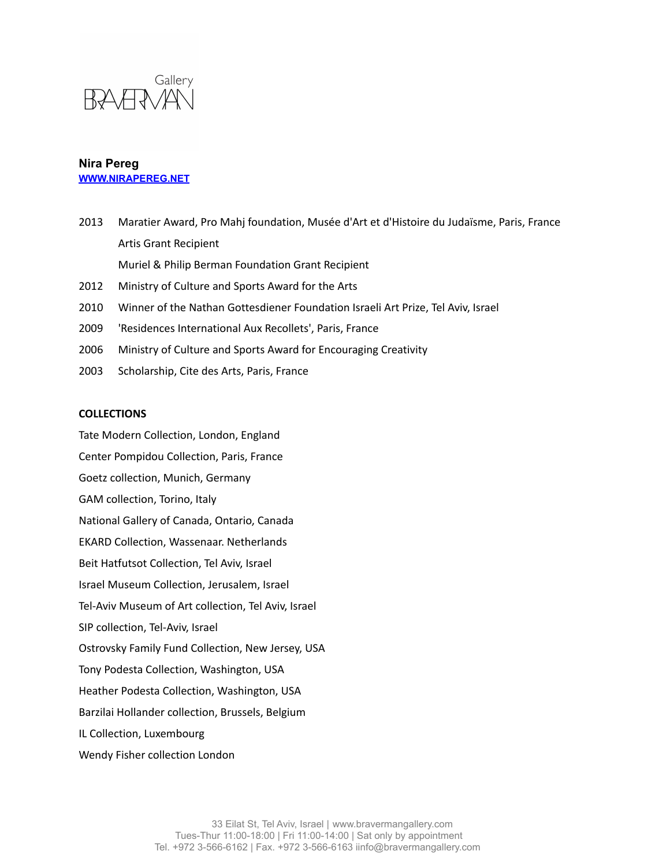

- 2013 Maratier Award, Pro Mahj foundation, Musée d'Art et d'Histoire du Judaïsme, Paris, France Artis Grant Recipient Muriel & Philip Berman Foundation Grant Recipient 2012 Ministry of Culture and Sports Award for the Arts 2010 Winner of the Nathan Gottesdiener Foundation Israeli Art Prize, Tel Aviv, Israel 2009 'Residences International Aux Recollets', Paris, France 2006 Ministry of Culture and Sports Award for Encouraging Creativity
- 2003 Scholarship, Cite des Arts, Paris, France

### **COLLECTIONS**

Tate Modern Collection, London, England Center Pompidou Collection, Paris, France Goetz collection, Munich, Germany GAM collection, Torino, Italy National Gallery of Canada, Ontario, Canada EKARD Collection, Wassenaar. Netherlands Beit Hatfutsot Collection, Tel Aviv, Israel Israel Museum Collection, Jerusalem, Israel Tel-Aviv Museum of Art collection, Tel Aviv, Israel SIP collection, Tel-Aviv, Israel Ostrovsky Family Fund Collection, New Jersey, USA Tony Podesta Collection, Washington, USA Heather Podesta Collection, Washington, USA Barzilai Hollander collection, Brussels, Belgium IL Collection, Luxembourg Wendy Fisher collection London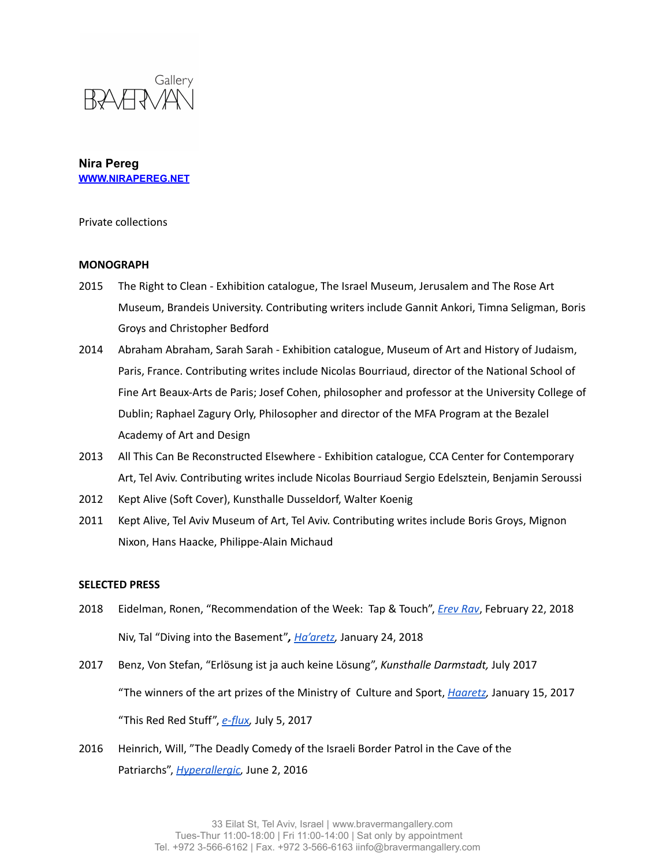

Private collections

#### **MONOGRAPH**

- 2015 The Right to Clean Exhibition catalogue, The Israel Museum, Jerusalem and The Rose Art Museum, Brandeis University. Contributing writers include Gannit Ankori, Timna Seligman, Boris Groys and Christopher Bedford
- 2014 Abraham Abraham, Sarah Sarah Exhibition catalogue, Museum of Art and History of Judaism, Paris, France. Contributing writes include Nicolas Bourriaud, director of the National School of Fine Art Beaux-Arts de Paris; Josef Cohen, philosopher and professor at the University College of Dublin; Raphael Zagury Orly, Philosopher and director of the MFA Program at the Bezalel Academy of Art and Design
- 2013 All This Can Be Reconstructed Elsewhere Exhibition catalogue, CCA Center for Contemporary Art, Tel Aviv. Contributing writes include Nicolas Bourriaud Sergio Edelsztein, Benjamin Seroussi
- 2012 Kept Alive (Soft Cover), Kunsthalle Dusseldorf, Walter Koenig
- 2011 Kept Alive, Tel Aviv Museum of Art, Tel Aviv. Contributing writes include Boris Groys, Mignon Nixon, Hans Haacke, Philippe-Alain Michaud

### **SELECTED PRESS**

- 2018 Eidelman, Ronen, "Recommendation of the Week: Tap & Touch", *[Erev](https://www.erev-rav.com/archives/47872) Rav*, February 22, 2018 Niv, Tal "Diving into the Basement"*, [Ha'aretz](http://bravermangallery.com/press/tal-liv-of-haaretz-writes-on-braverman-gallerys-group-exhibition-tap-and-touch/),* January 24, 2018
- 2017 Benz, Von Stefan, "Erlösung ist ja auch keine Lösung", *Kunsthalle Darmstadt,* July 2017 "The winners of the art prizes of the Ministry of Culture and Sport, *[Haaretz](https://www.haaretz.co.il/gallery/art/1.3236608),* January 15, 2017 "This Red Red Stuff", *[e-flux,](https://www.e-flux.com/announcements/141193/nira-peregthis-red-red-stuff/)* July 5, 2017
- 2016 Heinrich, Will, "The Deadly Comedy of the Israeli Border Patrol in the Cave of the Patriarchs", *[Hyperallergic,](https://hyperallergic.com/302958/the-deadly-comedy-of-the-israeli-border-patrol-in-the-cave-of-the-patriarchs/)* June 2, 2016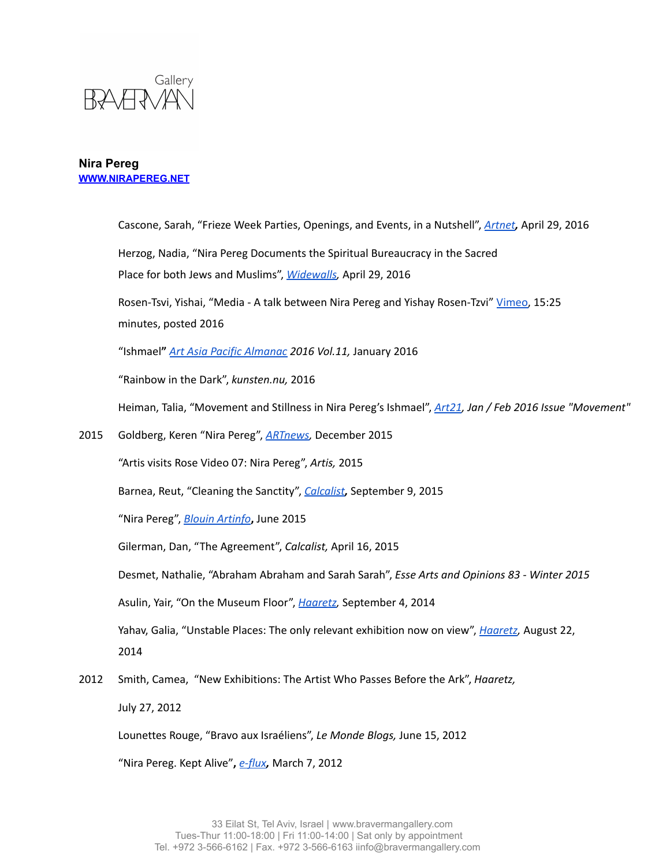

Cascone, Sarah, "Frieze Week Parties, Openings, and Events, in a Nutshell", *[Artnet](https://news.artnet.com/market/frieze-week-parties-events-463586),* April 29, 2016 Herzog, Nadia, "Nira Pereg Documents the Spiritual Bureaucracy in the Sacred Place for both Jews and Muslims", *[Widewalls,](https://www.widewalls.ch/nira-pereg-exhibition-braverman-gallery/)* April 29, 2016 Rosen-Tsvi, Yishai, "Media - A talk between Nira Pereg and Yishay Rosen-Tzvi" [Vimeo,](https://vimeo.com/151921451) 15:25 minutes, posted 2016 "Ishmael**"** *Art Asia Pacific [Almanac](https://bravermangallery.com/press/nira-peregs-solo-exhibition-ishmael-is-previewed-by-art-asia-pacific/) 2016 Vol.11,* January 2016 "Rainbow in the Dark", *kunsten.nu,* 2016 Heiman, Talia, "Movement and Stillness in Nira Pereg's Ishmael", *[Art21](http://magazine.art21.org/2016/01/04/movement-and-stillness-in-nira-peregs-ishmael/#.XCTuLFVvaUk), Jan / Feb 2016 Issue "Movement"* 2015 Goldberg, Keren "Nira Pereg", *[ARTnews,](https://bravermangallery.com/press/nira-peregs-exhibition-the-right-to-clean-ticho-house-israel-museum-jerusalem-is-previewed-by-keren-goldberg-for-artnews-magazine/)* December 2015 "Artis visits Rose Video 07: Nira Pereg", *Artis,* 2015 Barnea, Reut, "Cleaning the Sanctity", *[Calcalist](https://www.calcalist.co.il/consumer/articles/0,7340,L-3668996,00.html),* September 9, 2015 "Nira Pereg", *Blouin [Artinfo](https://enfr.blouinartinfo.com/photo-galleries/feature-2015-highlights-at-art-basel-in-basel?image=2)***,** June 2015 Gilerman, Dan, "The Agreement", *Calcalist,* April 16, 2015 Desmet, Nathalie, "Abraham Abraham and Sarah Sarah", *Esse Arts and Opinions 83 - Winter 2015* Asulin, Yair, "On the Museum Floor", *[Haaretz,](https://bravermangallery.com/wp-content/uploads/2014/09/NiraPereg_Pompidu_2014.pdf)* September 4, 2014 Yahav, Galia, "Unstable Places: The only relevant exhibition now on view", *[Haaretz](http://bravermangallery.com/press/nira-peregs-group-exhibition-unstable-places-at-the-israel-museum-reviewed-by-galia-yahav/),* August 22, 2014 2012 Smith, Camea, "New Exhibitions: The Artist Who Passes Before the Ark", *Haaretz,*

July 27, 2012

Lounettes Rouge, "Bravo aux Israéliens", *Le Monde Blogs,* June 15, 2012

"Nira Pereg. Kept Alive"**,** *[e-flux](https://www.e-flux.com/announcements/34452/nira-pereg-kept-alive/),* March 7, 2012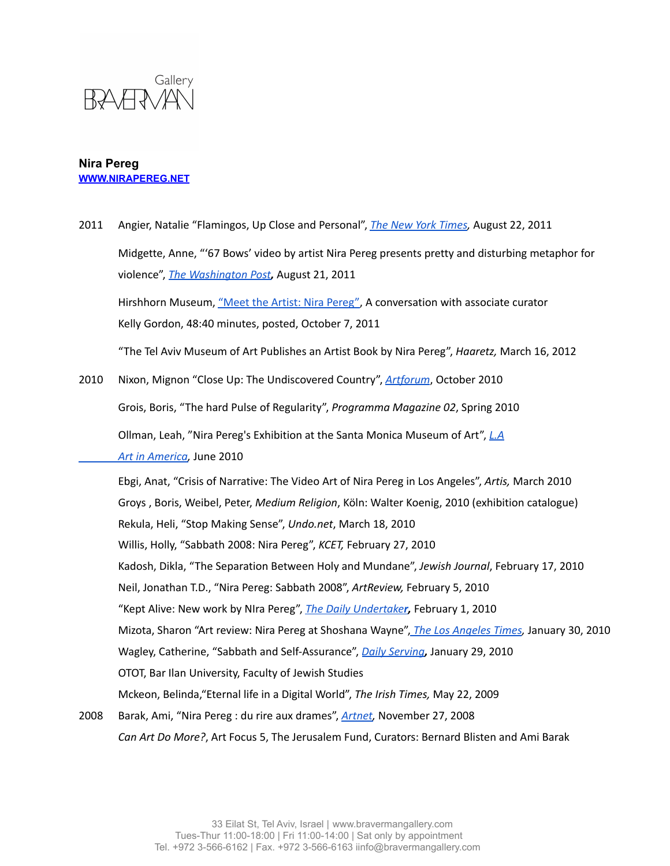

- 2011 Angier, Natalie "Flamingos, Up Close and Personal", *The New York [Times](https://www.nytimes.com/2011/08/23/science/23angier.html),* August 22, 2011 Midgette, Anne, "'67 Bows' video by artist Nira Pereg presents pretty and disturbing metaphor for violence", *The [Washington](https://www.washingtonpost.com/lifestyle/style/67-bows-video-by-artist-nira-pereg-presents-pretty-and-disturbing-metaphor-for-violence/2011/08/21/gIQACSmwUJ_story.html?utm_term=.d218bae33269) Post,* August 21, 2011 Hirshhorn Museum, "Meet the Artist: Nira [Pereg",](https://hirshhorn.si.edu/explore/meet-the-artist-nira-pereg/) A conversation with associate curator Kelly Gordon, 48:40 minutes, posted, October 7, 2011 "The Tel Aviv Museum of Art Publishes an Artist Book by Nira Pereg", *Haaretz,* March 16, 2012 2010 Nixon, Mignon "Close Up: The Undiscovered Country", *[Artforum](http://bravermangallery.com/press/close-up-the-undiscoverd-country/)*, October 2010 Grois, Boris, "The hard Pulse of Regularity", *Programma Magazine 02*, Spring 2010 Ollman, Leah, "Nira Pereg's Exhibition at the Santa Monica Museum of Art", *[L.A](https://www.artinamericamagazine.com/reviews/nira-pereg/) Art in [America,](https://www.artinamericamagazine.com/reviews/nira-pereg/)* June 2010 Ebgi, Anat, "Crisis of Narrative: The Video Art of Nira Pereg in Los Angeles", *Artis,* March 2010 Groys , Boris, Weibel, Peter, *Medium Religion*, Köln: Walter Koenig, 2010 (exhibition catalogue) Rekula, Heli, "Stop Making Sense", *Undo.net*, March 18, 2010 Willis, Holly, "Sabbath 2008: Nira Pereg", *KCET,* February 27, 2010 Kadosh, Dikla, "The Separation Between Holy and Mundane", *Jewish Journal*, February 17, 2010 Neil, Jonathan T.D., "Nira Pereg: Sabbath 2008", *ArtReview,* February 5, 2010 "Kept Alive: New work by NIra Pereg", *The Daily [Undertake](http://www.dailyundertaker.com/2010/02/kept-alive-new-work-by-nira-pereg.html)r,* February 1, 2010 Mizota, Sharon "Art review: Nira Pereg at Shoshana Wayne", *The Los [Angeles](https://latimesblogs.latimes.com/culturemonster/2010/01/art-review-nira-pereg-at-shoshana-wayne.html) Times,* January 30, 2010 Wagley, Catherine, "Sabbath and Self-Assurance", *Daily [Serving](https://www.dailyserving.com/2010/01/sabbath-and-self-assurance/),* January 29, 2010 OTOT, Bar Ilan University, Faculty of Jewish Studies Mckeon, Belinda,"Eternal life in a Digital World", *The Irish Times,* May 22, 2009 2008 Barak, Ami, "Nira Pereg : du rire aux drames", *[Artnet,](http://www.artnet.fr/magazine/portraits/PEREG/Nira%20PEREG.asp)* November 27, 2008
	- *Can Art Do More?*, Art Focus 5, The Jerusalem Fund, Curators: Bernard Blisten and Ami Barak